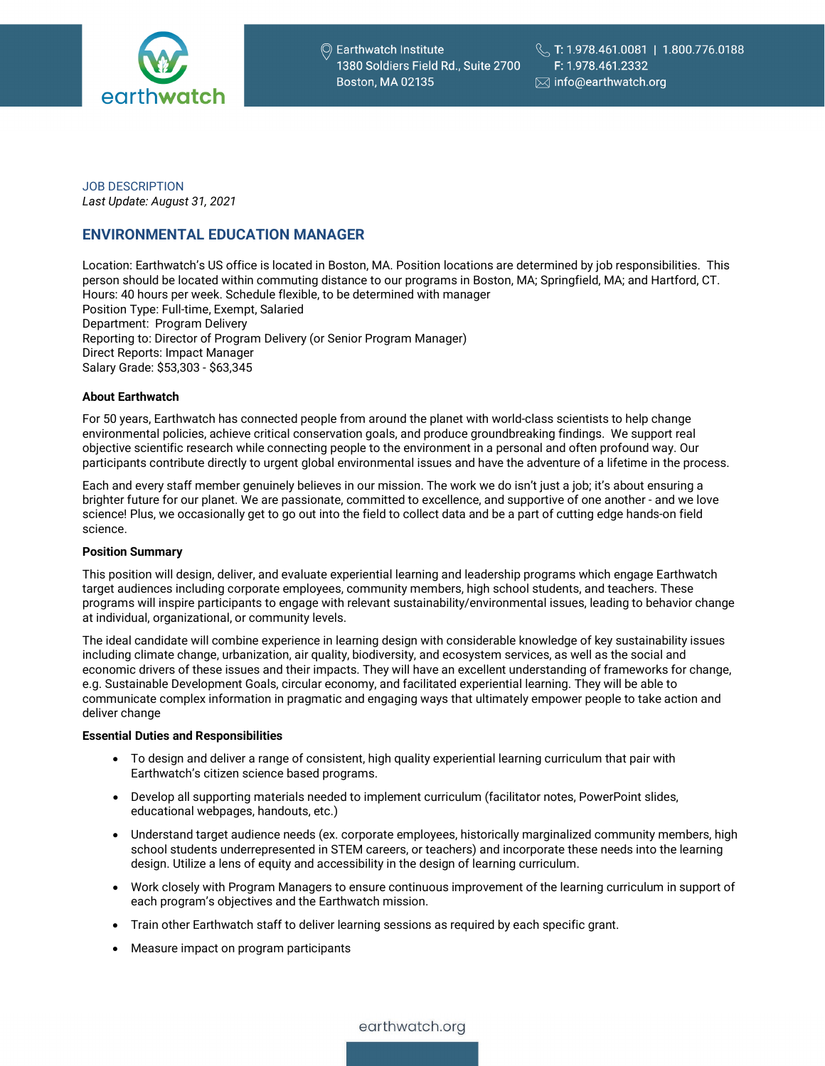

JOB DESCRIPTION *Last Update: August 31, 2021*

# **ENVIRONMENTAL EDUCATION MANAGER**

Location: Earthwatch's US office is located in Boston, MA. Position locations are determined by job responsibilities. This person should be located within commuting distance to our programs in Boston, MA; Springfield, MA; and Hartford, CT. Hours: 40 hours per week. Schedule flexible, to be determined with manager Position Type: Full-time, Exempt, Salaried Department: Program Delivery Reporting to: Director of Program Delivery (or Senior Program Manager) Direct Reports: Impact Manager Salary Grade: \$53,303 - \$63,345

# **About Earthwatch**

For 50 years, Earthwatch has connected people from around the planet with world-class scientists to help change environmental policies, achieve critical conservation goals, and produce groundbreaking findings. We support real objective scientific research while connecting people to the environment in a personal and often profound way. Our participants contribute directly to urgent global environmental issues and have the adventure of a lifetime in the process.

Each and every staff member genuinely believes in our mission. The work we do isn't just a job; it's about ensuring a brighter future for our planet. We are passionate, committed to excellence, and supportive of one another - and we love science! Plus, we occasionally get to go out into the field to collect data and be a part of cutting edge hands-on field science.

# **Position Summary**

This position will design, deliver, and evaluate experiential learning and leadership programs which engage Earthwatch target audiences including corporate employees, community members, high school students, and teachers. These programs will inspire participants to engage with relevant sustainability/environmental issues, leading to behavior change at individual, organizational, or community levels.

The ideal candidate will combine experience in learning design with considerable knowledge of key sustainability issues including climate change, urbanization, air quality, biodiversity, and ecosystem services, as well as the social and economic drivers of these issues and their impacts. They will have an excellent understanding of frameworks for change, e.g. Sustainable Development Goals, circular economy, and facilitated experiential learning. They will be able to communicate complex information in pragmatic and engaging ways that ultimately empower people to take action and deliver change

# **Essential Duties and Responsibilities**

- To design and deliver a range of consistent, high quality experiential learning curriculum that pair with Earthwatch's citizen science based programs.
- Develop all supporting materials needed to implement curriculum (facilitator notes, PowerPoint slides, educational webpages, handouts, etc.)
- Understand target audience needs (ex. corporate employees, historically marginalized community members, high school students underrepresented in STEM careers, or teachers) and incorporate these needs into the learning design. Utilize a lens of equity and accessibility in the design of learning curriculum.
- Work closely with Program Managers to ensure continuous improvement of the learning curriculum in support of each program's objectives and the Earthwatch mission.
- Train other Earthwatch staff to deliver learning sessions as required by each specific grant.
- Measure impact on program participants

earthwatch.org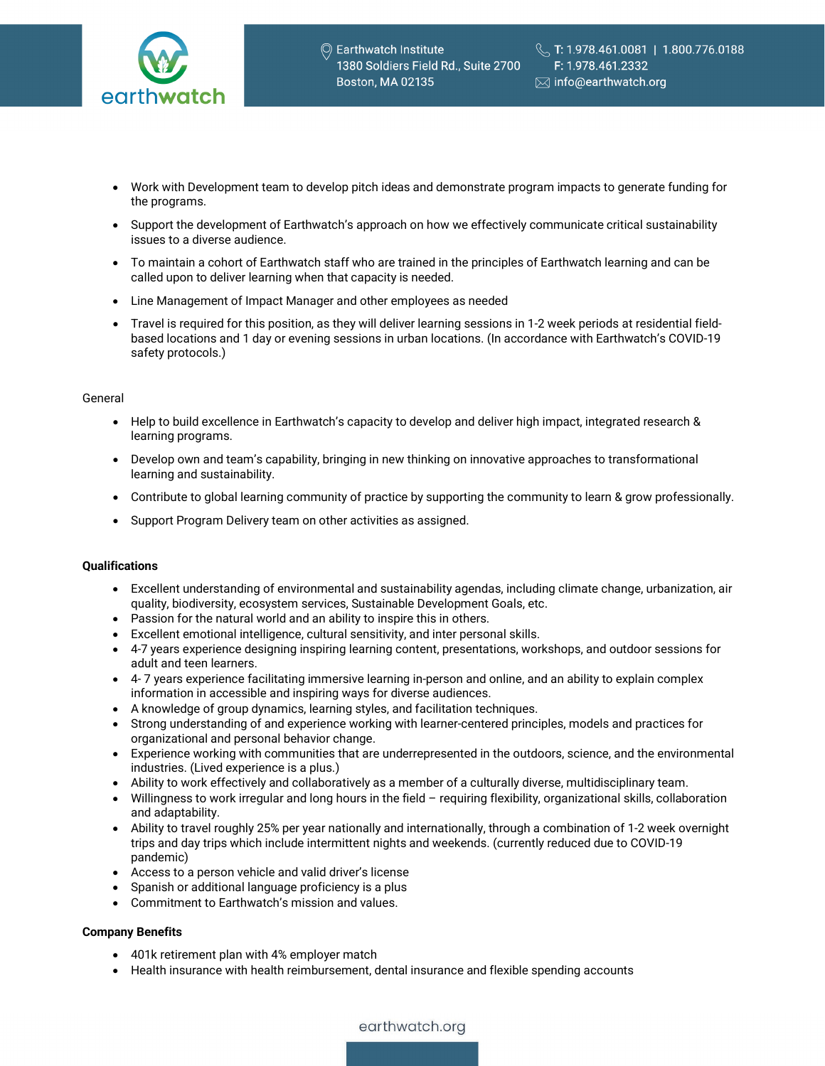

- Work with Development team to develop pitch ideas and demonstrate program impacts to generate funding for the programs.
- Support the development of Earthwatch's approach on how we effectively communicate critical sustainability issues to a diverse audience.
- To maintain a cohort of Earthwatch staff who are trained in the principles of Earthwatch learning and can be called upon to deliver learning when that capacity is needed.
- Line Management of Impact Manager and other employees as needed
- Travel is required for this position, as they will deliver learning sessions in 1-2 week periods at residential fieldbased locations and 1 day or evening sessions in urban locations. (In accordance with Earthwatch's COVID-19 safety protocols.)

#### General

- Help to build excellence in Earthwatch's capacity to develop and deliver high impact, integrated research & learning programs.
- Develop own and team's capability, bringing in new thinking on innovative approaches to transformational learning and sustainability.
- Contribute to global learning community of practice by supporting the community to learn & grow professionally.
- Support Program Delivery team on other activities as assigned.

# **Qualifications**

- Excellent understanding of environmental and sustainability agendas, including climate change, urbanization, air quality, biodiversity, ecosystem services, Sustainable Development Goals, etc.
- Passion for the natural world and an ability to inspire this in others.
- Excellent emotional intelligence, cultural sensitivity, and inter personal skills.
- 4-7 years experience designing inspiring learning content, presentations, workshops, and outdoor sessions for adult and teen learners.
- 4- 7 years experience facilitating immersive learning in-person and online, and an ability to explain complex information in accessible and inspiring ways for diverse audiences.
- A knowledge of group dynamics, learning styles, and facilitation techniques.
- Strong understanding of and experience working with learner-centered principles, models and practices for organizational and personal behavior change.
- Experience working with communities that are underrepresented in the outdoors, science, and the environmental industries. (Lived experience is a plus.)
- Ability to work effectively and collaboratively as a member of a culturally diverse, multidisciplinary team.
- Willingness to work irregular and long hours in the field requiring flexibility, organizational skills, collaboration and adaptability.
- Ability to travel roughly 25% per year nationally and internationally, through a combination of 1-2 week overnight trips and day trips which include intermittent nights and weekends. (currently reduced due to COVID-19 pandemic)
- Access to a person vehicle and valid driver's license
- Spanish or additional language proficiency is a plus
- Commitment to Earthwatch's mission and values.

# **Company Benefits**

- 401k retirement plan with 4% employer match
- Health insurance with health reimbursement, dental insurance and flexible spending accounts

# earthwatch.org